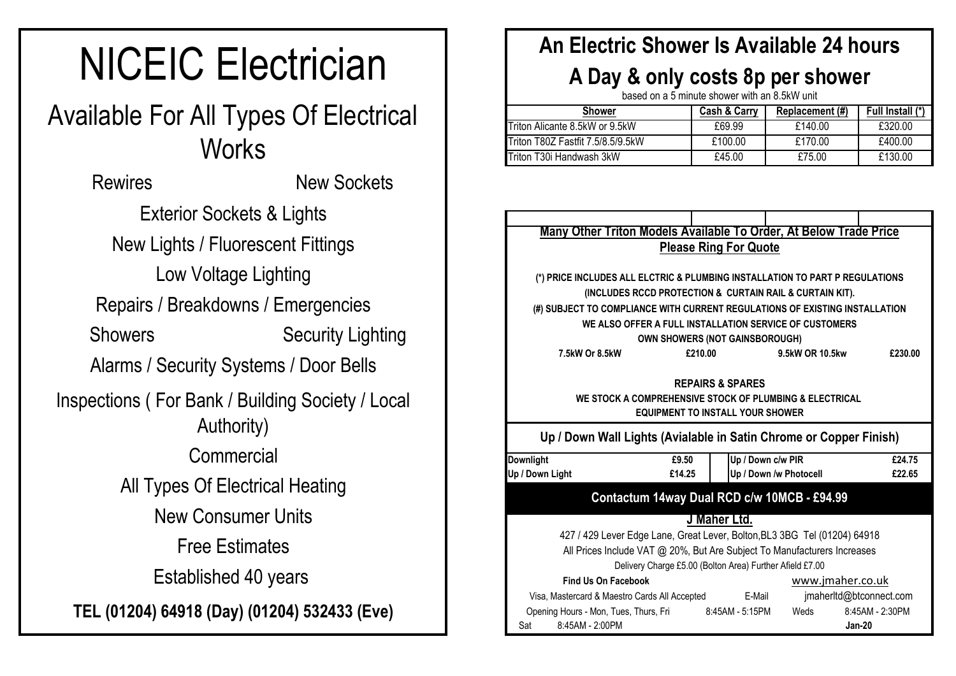# NICEIC Electrician

## Available For All Types Of Electrical **Works**

Low Voltage Lighting **Commercial** Free Estimates Exterior Sockets & Lights New Lights / Fluorescent Fittings Rewires Repairs / Breakdowns / Emergencies Alarms / Security Systems / Door Bells New Sockets Showers Security Lighting Inspections ( For Bank / Building Society / Local Authority) All Types Of Electrical Heating New Consumer Units Established 40 years **TEL (01204) 64918 (Day) (01204) 532433 (Eve)**

#### **An Electric Shower Is Available 24 hours**

### **A Day & only costs 8p per shower**

based on a 5 minute shower with an 8.5kW unit

| <b>Shower</b>                     | <b>Cash &amp; Carry</b> | Replacement (#) | Full Install (*) |
|-----------------------------------|-------------------------|-----------------|------------------|
| Triton Alicante 8.5kW or 9.5kW    | £69.99                  | £140.00         | £320.00          |
| Triton T80Z Fastfit 7.5/8.5/9.5kW | £100.00                 | £170.00         | £400.00          |
| lTriton T30i Handwash 3kW         | £45.00                  | £75.00          | £130.00          |

|                                                                              | Many Other Triton Models Available To Order, At Below Trade Price           |         |                                         |                        |                         |  |  |  |  |  |  |  |  |
|------------------------------------------------------------------------------|-----------------------------------------------------------------------------|---------|-----------------------------------------|------------------------|-------------------------|--|--|--|--|--|--|--|--|
| <b>Please Ring For Quote</b>                                                 |                                                                             |         |                                         |                        |                         |  |  |  |  |  |  |  |  |
|                                                                              |                                                                             |         |                                         |                        |                         |  |  |  |  |  |  |  |  |
| (*) PRICE INCLUDES ALL ELCTRIC & PLUMBING INSTALLATION TO PART P REGULATIONS |                                                                             |         |                                         |                        |                         |  |  |  |  |  |  |  |  |
|                                                                              | (INCLUDES RCCD PROTECTION & CURTAIN RAIL & CURTAIN KIT).                    |         |                                         |                        |                         |  |  |  |  |  |  |  |  |
|                                                                              | (#) SUBJECT TO COMPLIANCE WITH CURRENT REGULATIONS OF EXISTING INSTALLATION |         |                                         |                        |                         |  |  |  |  |  |  |  |  |
|                                                                              | WE ALSO OFFER A FULL INSTALLATION SERVICE OF CUSTOMERS                      |         |                                         |                        |                         |  |  |  |  |  |  |  |  |
|                                                                              |                                                                             |         | <b>OWN SHOWERS (NOT GAINSBOROUGH)</b>   |                        |                         |  |  |  |  |  |  |  |  |
|                                                                              | 7.5kW Or 8.5kW                                                              | £210.00 |                                         | 9.5kW OR 10.5kw        | £230.00                 |  |  |  |  |  |  |  |  |
|                                                                              |                                                                             |         | <b>REPAIRS &amp; SPARES</b>             |                        |                         |  |  |  |  |  |  |  |  |
|                                                                              | WE STOCK A COMPREHENSIVE STOCK OF PLUMBING & ELECTRICAL                     |         | <b>EQUIPMENT TO INSTALL YOUR SHOWER</b> |                        |                         |  |  |  |  |  |  |  |  |
|                                                                              | Up / Down Wall Lights (Avialable in Satin Chrome or Copper Finish)          |         |                                         |                        |                         |  |  |  |  |  |  |  |  |
| <b>Downlight</b>                                                             |                                                                             | £9.50   |                                         | Up / Down c/w PIR      | £24.75                  |  |  |  |  |  |  |  |  |
| Up / Down Light                                                              |                                                                             | £14.25  |                                         | Up / Down /w Photocell | £22.65                  |  |  |  |  |  |  |  |  |
|                                                                              | Contactum 14way Dual RCD c/w 10MCB - £94.99                                 |         |                                         |                        |                         |  |  |  |  |  |  |  |  |
|                                                                              |                                                                             |         |                                         |                        |                         |  |  |  |  |  |  |  |  |
|                                                                              |                                                                             |         | J Maher Ltd.                            |                        |                         |  |  |  |  |  |  |  |  |
|                                                                              | 427 / 429 Lever Edge Lane, Great Lever, Bolton, BL3 3BG Tel (01204) 64918   |         |                                         |                        |                         |  |  |  |  |  |  |  |  |
|                                                                              | All Prices Include VAT @ 20%, But Are Subject To Manufacturers Increases    |         |                                         |                        |                         |  |  |  |  |  |  |  |  |
|                                                                              | Delivery Charge £5.00 (Bolton Area) Further Afield £7.00                    |         |                                         |                        |                         |  |  |  |  |  |  |  |  |
|                                                                              | <b>Find Us On Facebook</b>                                                  |         |                                         |                        | www.jmaher.co.uk        |  |  |  |  |  |  |  |  |
|                                                                              | Visa, Mastercard & Maestro Cards All Accepted E-Mail                        |         |                                         |                        | jmaherltd@btconnect.com |  |  |  |  |  |  |  |  |
|                                                                              | Opening Hours - Mon, Tues, Thurs, Fri                                       |         | 8:45AM - 5:15PM                         | Weds                   | 8:45AM - 2:30PM         |  |  |  |  |  |  |  |  |
| Sat                                                                          | 8:45AM - 2:00PM                                                             |         |                                         |                        | <b>Jan-20</b>           |  |  |  |  |  |  |  |  |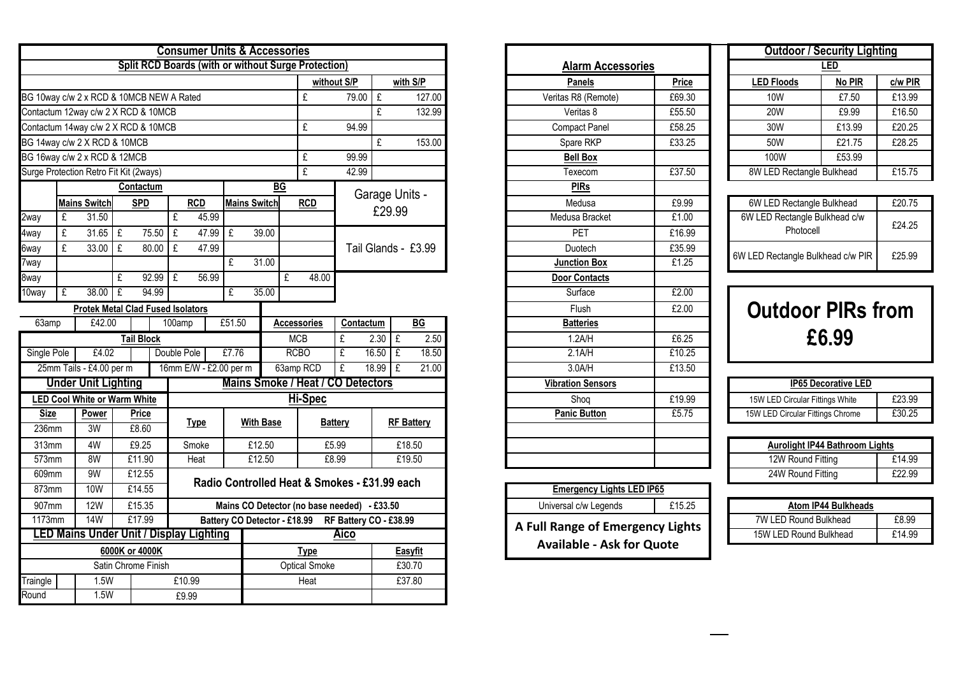| <b>Consumer Units &amp; Accessories</b><br><b>Split RCD Boards (with or without Surge Protection)</b> |   |                                          |   |                     |                      |                                     |        |                  |                              |             |                                              |                                                                      |                   |                |                     |  |
|-------------------------------------------------------------------------------------------------------|---|------------------------------------------|---|---------------------|----------------------|-------------------------------------|--------|------------------|------------------------------|-------------|----------------------------------------------|----------------------------------------------------------------------|-------------------|----------------|---------------------|--|
|                                                                                                       |   |                                          |   |                     |                      |                                     |        |                  |                              |             |                                              |                                                                      |                   |                |                     |  |
|                                                                                                       |   |                                          |   |                     |                      |                                     |        |                  |                              |             |                                              | without S/P                                                          |                   |                | with S/P            |  |
|                                                                                                       |   | BG 10way c/w 2 x RCD & 10MCB NEW A Rated |   |                     |                      |                                     |        |                  |                              |             | £                                            | 79.00                                                                | £                 |                | 127.00              |  |
| Contactum 12way c/w 2 X RCD & 10MCB                                                                   |   |                                          |   |                     |                      |                                     |        |                  |                              |             |                                              |                                                                      | f                 |                | 132.99              |  |
| Contactum 14way c/w 2 X RCD & 10MCB                                                                   |   |                                          |   |                     |                      |                                     |        |                  |                              |             |                                              | 94.99                                                                |                   |                |                     |  |
| BG 14way c/w 2 X RCD & 10MCB                                                                          |   |                                          |   |                     |                      |                                     |        |                  |                              |             |                                              |                                                                      | £                 |                | 153.00              |  |
|                                                                                                       |   | BG 16way c/w 2 x RCD & 12MCB             |   |                     |                      |                                     |        |                  |                              |             | £                                            | 99.99                                                                |                   |                |                     |  |
|                                                                                                       |   | Surge Protection Retro Fit Kit (2ways)   |   |                     |                      |                                     |        |                  |                              |             | £                                            | 42.99                                                                |                   |                |                     |  |
|                                                                                                       |   |                                          |   | Contactum           |                      |                                     |        |                  |                              | ВG          |                                              |                                                                      |                   | Garage Units - |                     |  |
|                                                                                                       |   | <b>Mains Switch</b>                      |   | <b>SPD</b>          |                      | <b>RCD</b>                          |        |                  | <b>Mains Switch</b>          |             | <b>RCD</b>                                   |                                                                      |                   | £29.99         |                     |  |
| 2way                                                                                                  | £ | 31.50                                    |   |                     | £                    | 45.99                               |        |                  |                              |             |                                              |                                                                      |                   |                |                     |  |
| 4way                                                                                                  | £ | 31.65                                    | £ | 75.50               | £                    | 47.99                               | £      |                  | 39.00                        |             |                                              |                                                                      |                   |                |                     |  |
| 6way                                                                                                  | £ | 33.00                                    | £ | 80.00               | £                    | 47.99                               |        |                  |                              |             |                                              |                                                                      |                   |                | Tail Glands - £3.99 |  |
| 7way                                                                                                  |   |                                          |   |                     |                      |                                     | £      |                  | 31.00                        |             |                                              |                                                                      |                   |                |                     |  |
| 8way                                                                                                  |   |                                          | £ | 92.99               | £                    | 56.99                               |        |                  |                              | £           | 48.00                                        |                                                                      |                   |                |                     |  |
| 10way                                                                                                 | £ | 38.00                                    | £ | 94.99               |                      |                                     | £      |                  | 35.00                        |             |                                              |                                                                      |                   |                |                     |  |
|                                                                                                       |   | <b>Protek Metal Clad Fused Isolators</b> |   |                     |                      |                                     |        |                  |                              |             |                                              |                                                                      |                   |                |                     |  |
| 63amp                                                                                                 |   | £42.00                                   |   |                     | 100amp               |                                     | £51.50 |                  |                              |             | <b>Accessories</b>                           | Contactum<br>£                                                       |                   |                | BG                  |  |
|                                                                                                       |   |                                          |   | <b>Tail Block</b>   |                      |                                     |        |                  |                              |             | <b>MCB</b>                                   | 2.30                                                                 | £                 | 2.50           |                     |  |
| Single Pole                                                                                           |   | £4.02                                    |   |                     | Double Pole<br>£7.76 |                                     |        |                  |                              | <b>RCBO</b> | £                                            | 16.50<br>£                                                           |                   | 18.50          |                     |  |
|                                                                                                       |   | 25mm Tails - £4.00 per m                 |   |                     |                      | 16mm E/W - £2.00 per m<br>63amp RCD |        |                  |                              |             |                                              | £<br>18.99<br>£<br>21.00<br><b>Mains Smoke / Heat / CO Detectors</b> |                   |                |                     |  |
|                                                                                                       |   | <b>Under Unit Lighting</b>               |   |                     |                      |                                     |        |                  |                              |             |                                              |                                                                      |                   |                |                     |  |
|                                                                                                       |   | <b>LED Cool White or Warm White</b>      |   |                     |                      |                                     |        |                  |                              |             | Hi-Spec                                      |                                                                      |                   |                |                     |  |
| <b>Size</b>                                                                                           |   | Power                                    |   | Price               |                      | <b>Type</b>                         |        | <b>With Base</b> |                              |             |                                              | <b>Battery</b>                                                       | <b>RF Battery</b> |                |                     |  |
| 236mm                                                                                                 |   | 3W                                       |   | £8.60               |                      |                                     |        |                  |                              |             |                                              |                                                                      |                   |                |                     |  |
| 313mm                                                                                                 |   | 4W                                       |   | £9.25               |                      | Smoke                               |        |                  | £12.50                       |             |                                              | £5.99                                                                |                   |                | £18.50              |  |
| 573mm                                                                                                 |   | 8W                                       |   | £11.90              |                      | Heat                                |        |                  | £12.50                       |             |                                              | £8.99                                                                |                   |                | £19.50              |  |
| 609mm                                                                                                 |   | 9W                                       |   | £12.55              |                      |                                     |        |                  |                              |             | Radio Controlled Heat & Smokes - £31.99 each |                                                                      |                   |                |                     |  |
| 873mm                                                                                                 |   | <b>10W</b>                               |   | £14.55              |                      |                                     |        |                  |                              |             |                                              |                                                                      |                   |                |                     |  |
| 907mm                                                                                                 |   | 12W                                      |   | £15.35              |                      |                                     |        |                  |                              |             | Mains CO Detector (no base needed) - £33.50  |                                                                      |                   |                |                     |  |
| 1173mm                                                                                                |   | <b>14W</b>                               |   | £17.99              |                      |                                     |        |                  | Battery CO Detector - £18.99 |             |                                              | RF Battery CO - £38.99                                               |                   |                |                     |  |
|                                                                                                       |   | LED Mains Under Unit / Display Lighting  |   |                     |                      |                                     |        |                  |                              |             |                                              | <u>Aico</u>                                                          |                   |                |                     |  |
|                                                                                                       |   |                                          |   | 6000K or 4000K      |                      |                                     |        |                  |                              |             | <b>Type</b>                                  |                                                                      |                   |                | <b>Easyfit</b>      |  |
|                                                                                                       |   |                                          |   | Satin Chrome Finish |                      |                                     |        |                  |                              |             | <b>Optical Smoke</b>                         |                                                                      |                   |                | £30.70              |  |
| Traingle                                                                                              |   | 1.5W                                     |   |                     |                      | £10.99                              |        |                  |                              |             | Heat                                         |                                                                      |                   |                | £37.80              |  |
| Round<br>1.5W<br>£9.99                                                                                |   |                                          |   |                     |                      |                                     |        |                  |                              |             |                                              |                                                                      |                   |                |                     |  |

| <b>Alarm Accessories</b> |              |
|--------------------------|--------------|
| <b>Panels</b>            | <b>Price</b> |
| Veritas R8 (Remote)      | £69.30       |
| Veritas 8                | £55.50       |
| <b>Compact Panel</b>     | £58.25       |
| Spare RKP                | £33.25       |
| <b>Bell Box</b>          |              |
| Texecom                  | £37.50       |
| <b>PIRs</b>              |              |
| Medusa                   | £9.99        |
| Medusa Bracket           | £1.00        |
| PET                      | £16.99       |
| Duotech                  | £35.99       |
| <b>Junction Box</b>      | £1.25        |
| <b>Door Contacts</b>     |              |
| Surface                  | £2.00        |
| Flush                    | £2.00        |
| <b>Batteries</b>         |              |
| 1.2A/H                   | £6.25        |
| 2.1A/H                   | £10.25       |
| 3.0A/H                   | £13.50       |
| <b>Vibration Sensors</b> |              |
| Shoq                     | £19.99       |
| <b>Panic Button</b>      | £5.75        |
|                          |              |
|                          |              |
|                          |              |

| <b>Emergency Lights LED IP65</b>                                     |        |  |  |  |  |  |  |  |  |
|----------------------------------------------------------------------|--------|--|--|--|--|--|--|--|--|
| Universal c/w Legends                                                | £15.25 |  |  |  |  |  |  |  |  |
| A Full Range of Emergency Lights<br><b>Available - Ask for Quote</b> |        |  |  |  |  |  |  |  |  |

| <b>Outdoor / Security Lighting</b> |        |        |  |  |  |  |  |  |  |  |  |
|------------------------------------|--------|--------|--|--|--|--|--|--|--|--|--|
| LED                                |        |        |  |  |  |  |  |  |  |  |  |
| <b>LED Floods</b>                  | No PIR |        |  |  |  |  |  |  |  |  |  |
| <b>10W</b>                         | £7.50  | £13.99 |  |  |  |  |  |  |  |  |  |
| 20W                                | £9.99  | £16.50 |  |  |  |  |  |  |  |  |  |
| 30W                                | £13.99 | £20.25 |  |  |  |  |  |  |  |  |  |
| 50W                                | £21.75 | £28.25 |  |  |  |  |  |  |  |  |  |
| 100W                               | £53.99 |        |  |  |  |  |  |  |  |  |  |
| 8W LED Rectangle Bulkhead          |        | £15.75 |  |  |  |  |  |  |  |  |  |

| 6W LED Rectangle Bulkhead                  | £20.75 |
|--------------------------------------------|--------|
| 6W LED Rectangle Bulkhead c/w<br>Photocell | £24.25 |
| 6W LED Rectangle Bulkhead c/w PIR          | £25.99 |

## **Outdoor PIRs from £6.99**

|        | <b>IP65 Decorative LED</b>       |        |
|--------|----------------------------------|--------|
| £19.99 | 15W LED Circular Fittings White  | £23.99 |
| £5.75  | 15W LED Circular Fittings Chrome | £30.25 |

| <b>Aurolight IP44 Bathroom Lights</b> |        |  |  |  |  |  |  |  |  |  |
|---------------------------------------|--------|--|--|--|--|--|--|--|--|--|
| 12W Round Fitting                     | £14.99 |  |  |  |  |  |  |  |  |  |
| 24W Round Fitting                     | £22.99 |  |  |  |  |  |  |  |  |  |

| Atom IP44 Bulkheads    |        |
|------------------------|--------|
| 7W LED Round Bulkhead  | £8.99  |
| 15W LED Round Bulkhead | £14.99 |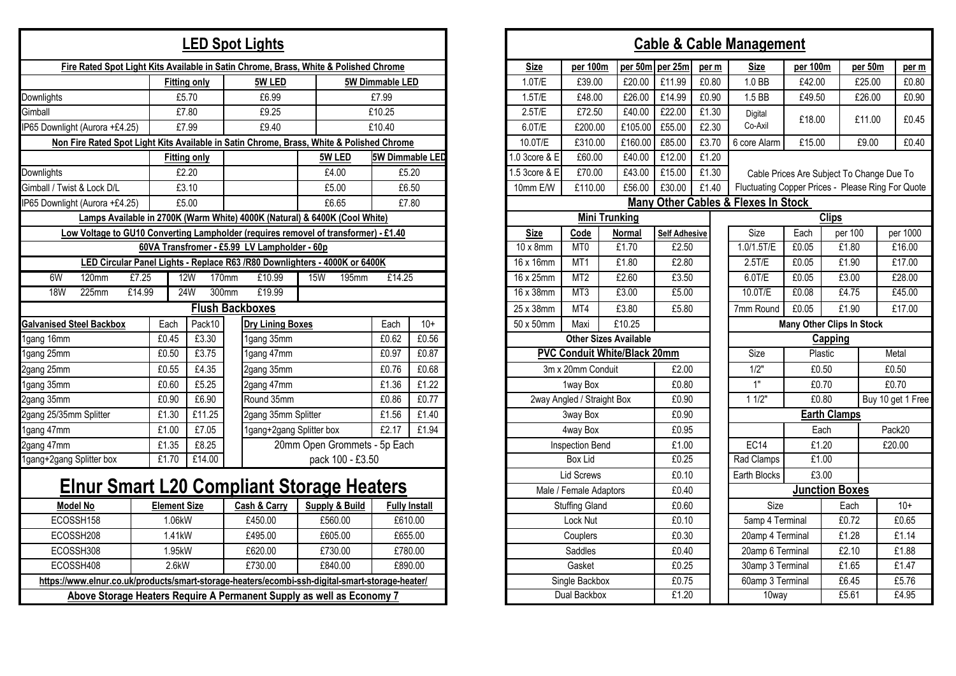|                                                                                      |                    |                     |        |                                                                                                                | <b>LED Spot Lights</b>                                                     |     |                              |                 |                                 |                        |                   |                                   |                                     | <b>Cable &amp; Cable</b> |       |  |
|--------------------------------------------------------------------------------------|--------------------|---------------------|--------|----------------------------------------------------------------------------------------------------------------|----------------------------------------------------------------------------|-----|------------------------------|-----------------|---------------------------------|------------------------|-------------------|-----------------------------------|-------------------------------------|--------------------------|-------|--|
| Fire Rated Spot Light Kits Available in Satin Chrome, Brass, White & Polished Chrome |                    |                     |        |                                                                                                                |                                                                            |     |                              |                 |                                 |                        | <b>Size</b>       | per 100m                          |                                     | per 50m per 25m          | per m |  |
|                                                                                      |                    | <b>Fitting only</b> |        |                                                                                                                | 5W LED                                                                     |     |                              | 5W Dimmable LED |                                 |                        | $1.0$ T/E         | £39.00                            | £20.00                              | £11.99                   | £0.80 |  |
| Downlights                                                                           |                    | £5.70               |        |                                                                                                                | £6.99                                                                      |     |                              | £7.99           |                                 |                        | 1.5T/E            | £48.00                            | £26.00                              | £14.99                   | £0.90 |  |
| Gimball                                                                              |                    | £7.80               |        |                                                                                                                | £9.25                                                                      |     |                              | £10.25          |                                 |                        | 2.5T/E            | £72.50                            | £40.00                              | £22.00                   | £1.30 |  |
| IP65 Downlight (Aurora +£4.25)                                                       |                    | £7.99               |        |                                                                                                                | £9.40                                                                      |     |                              | £10.40          |                                 |                        | 6.0T/E            | £200.00                           | £105.00                             | £55.00                   | £2.30 |  |
|                                                                                      |                    |                     |        | Non Fire Rated Spot Light Kits Available in Satin Chrome, Brass, White & Polished Chrome<br>10.0T/E<br>£310.00 |                                                                            |     |                              |                 |                                 |                        | £160.00           | £85.00                            | £3.70                               |                          |       |  |
|                                                                                      |                    | <b>Fitting only</b> |        |                                                                                                                |                                                                            |     | 5W LED                       | 5W Dimmable LED |                                 |                        | 1.0 3core & E     | £60.00                            | £40.00                              | £12.00                   | £1.20 |  |
| Downlights                                                                           |                    | £2.20               |        |                                                                                                                |                                                                            |     | £4.00                        |                 | £5.20                           |                        | 1.5 3core & E     | £70.00                            | £43.00                              | £15.00                   | £1.30 |  |
| Gimball / Twist & Lock D/L                                                           |                    | £3.10               |        |                                                                                                                |                                                                            |     | £5.00                        |                 | £6.50                           |                        | 10mm E/W          | £110.00                           | £56.00                              | £30.00                   | £1.40 |  |
| IP65 Downlight (Aurora +£4.25)                                                       |                    | £5.00               |        |                                                                                                                |                                                                            |     | £6.65                        |                 | £7.80                           |                        |                   |                                   |                                     | <b>Many Other Cables</b> |       |  |
|                                                                                      |                    |                     |        |                                                                                                                | Lamps Available in 2700K (Warm White) 4000K (Natural) & 6400K (Cool White) |     |                              |                 |                                 |                        |                   |                                   | <b>Mini Trunking</b>                |                          |       |  |
| Low Voltage to GU10 Converting Lampholder (requires removel of transformer) - £1.40  |                    |                     |        |                                                                                                                |                                                                            |     |                              |                 |                                 |                        | <b>Size</b>       | Code                              | Normal                              | <b>Self Adhesive</b>     |       |  |
|                                                                                      |                    |                     |        |                                                                                                                | 60VA Transfromer - £5.99 LV Lampholder - 60p                               |     |                              |                 |                                 |                        | $10 \times 8$ mm  | MT <sub>0</sub>                   | £1.70                               | £2.50                    |       |  |
|                                                                                      |                    |                     |        |                                                                                                                | LED Circular Panel Lights - Replace R63 /R80 Downlighters - 4000K or 6400K |     |                              |                 |                                 |                        | 16 x 16mm         | MT1                               | £1.80                               | £2.80                    |       |  |
| 6W<br>120mm                                                                          | £7.25              | 12W                 | 170mm  |                                                                                                                | £10.99                                                                     | 15W | 195mm                        | £14.25          |                                 |                        | 16 x 25mm         | MT2                               | £2.60                               | £3.50                    |       |  |
| <b>18W</b><br>225mm                                                                  | £14.99             | 24W                 | 300mm  |                                                                                                                | £19.99                                                                     |     |                              |                 |                                 |                        | 16 x 38mm         | MT <sub>3</sub>                   | £3.00                               | £5.00                    |       |  |
|                                                                                      |                    |                     |        |                                                                                                                | <b>Flush Backboxes</b>                                                     |     |                              |                 |                                 |                        | 25 x 38mm         | MT4                               | £3.80                               |                          | £5.80 |  |
| <b>Galvanised Steel Backbox</b>                                                      | Each               |                     | Pack10 |                                                                                                                | <b>Dry Lining Boxes</b>                                                    |     |                              | Each            | $10+$                           |                        | 50 x 50mm<br>Maxi |                                   | £10.25                              |                          |       |  |
| 1gang 16mm                                                                           | $\overline{£}0.45$ |                     | £3.30  |                                                                                                                | 1gang 35mm                                                                 |     |                              | £0.62           | £0.56                           |                        |                   |                                   | <b>Other Sizes Available</b>        |                          |       |  |
| 1gang 25mm                                                                           | £0.50              |                     | £3.75  |                                                                                                                | 1gang 47mm                                                                 |     |                              | £0.97           | £0.87                           |                        |                   |                                   | <b>PVC Conduit White/Black 20mm</b> |                          |       |  |
| 2gang 25mm                                                                           | £0.55              |                     | £4.35  |                                                                                                                | 2gang 35mm                                                                 |     |                              | £0.76           | £0.68                           |                        |                   | 3m x 20mm Conduit                 |                                     | £2.00                    |       |  |
| 1gang 35mm                                                                           | £0.60              |                     | £5.25  |                                                                                                                | 2gang 47mm                                                                 |     |                              | £1.36           | £1.22                           |                        |                   | 1way Box                          |                                     | £0.80                    |       |  |
| 2gang 35mm                                                                           | £0.90              |                     | £6.90  |                                                                                                                | Round 35mm                                                                 |     |                              | £0.86           | £0.77                           |                        |                   | 2way Angled / Straight Box        |                                     | £0.90                    |       |  |
| 2gang 25/35mm Splitter                                                               | £1.30              |                     | £11.25 |                                                                                                                | 2gang 35mm Splitter                                                        |     |                              | £1.56           | £1.40                           |                        |                   | 3way Box                          |                                     | £0.90                    |       |  |
| 1gang 47mm                                                                           | £1.00              |                     | £7.05  |                                                                                                                | 1gang+2gang Splitter box                                                   |     |                              | £2.17           | £1.94                           |                        |                   | 4way Box                          |                                     | £0.95                    |       |  |
| 2gang 47mm                                                                           | £1.35              |                     | £8.25  |                                                                                                                |                                                                            |     | 20mm Open Grommets - 5p Each |                 |                                 |                        |                   | Inspection Bend                   |                                     | £1.00                    |       |  |
| 1gang+2gang Splitter box                                                             | £1.70              |                     | £14.00 |                                                                                                                |                                                                            |     | pack 100 - £3.50             |                 |                                 |                        |                   | <b>Box Lid</b>                    |                                     | £0.25                    |       |  |
|                                                                                      |                    |                     |        |                                                                                                                |                                                                            |     |                              |                 |                                 |                        |                   | <b>Lid Screws</b>                 |                                     | £0.10                    |       |  |
| <b>Elnur Smart L20 Compliant Storage Heaters</b><br><b>Element Size</b>              |                    |                     |        |                                                                                                                |                                                                            |     |                              |                 |                                 | Male / Female Adaptors |                   |                                   | £0.40                               |                          |       |  |
| <b>Model No</b><br>ECOSSH158                                                         |                    | 1.06kW              |        |                                                                                                                | Cash & Carry<br>£450.00                                                    |     | Supply & Build<br>£560.00    |                 | <b>Fully Install</b><br>£610.00 |                        |                   | <b>Stuffing Gland</b><br>Lock Nut |                                     | £0.60                    |       |  |
| ECOSSH208                                                                            |                    |                     |        |                                                                                                                |                                                                            |     | £605.00                      |                 |                                 |                        |                   |                                   |                                     | £0.10                    |       |  |
| ECOSSH308                                                                            |                    | 1.41kW<br>1.95kW    |        |                                                                                                                | £495.00<br>£620.00                                                         |     | £730.00                      |                 | £655.00<br>£780.00              |                        |                   | Couplers<br>Saddles               |                                     | £0.30<br>£0.40           |       |  |
| ECOSSH408                                                                            |                    | 2.6kW               |        |                                                                                                                | £730.00                                                                    |     | £840.00                      |                 | £890.00                         |                        |                   | Gasket                            |                                     | £0.25                    |       |  |
|                                                                                      |                    |                     |        |                                                                                                                |                                                                            |     |                              |                 |                                 |                        |                   |                                   |                                     |                          |       |  |

**https://www.elnur.co.uk/products/smart-storage-heaters/ecombi-ssh-digital-smart-storage-heater/ Above Storage Heaters Require A Permanent Supply as well as Economy 7**

**Cable & Cable Management**

|                                              |                                  | ble in Satin Chrome, Brass, White & Polished Chrome         |                 |                      |                              | <b>Size</b>                         | per 100m                   |                      | per 50m per 25m      | per m     | <b>Size</b>                                       | per 100m                                  |                       | per 50m           | per m              |
|----------------------------------------------|----------------------------------|-------------------------------------------------------------|-----------------|----------------------|------------------------------|-------------------------------------|----------------------------|----------------------|----------------------|-----------|---------------------------------------------------|-------------------------------------------|-----------------------|-------------------|--------------------|
| only                                         | 5W LED                           |                                                             | 5W Dimmable LED |                      |                              | 1.0T/E                              | £39.00                     | £20.00               | £11.99               | £0.80     | 1.0 BB                                            | £42.00                                    |                       | £25.00            | £0.80              |
| 0                                            | £6.99                            |                                                             | £7.99           |                      |                              | 1.5T/E                              | £48.00                     | £26.00               | £14.99               | £0.90     | 1.5 BB                                            | £49.50                                    |                       | £26.00            | £0.90              |
| 30                                           | £9.25                            |                                                             | £10.25          |                      |                              | 2.5T/E                              | £72.50                     | £40.00               | £22.00               | £1.30     | Digital                                           | £18.00                                    |                       | £11.00            | £0.45              |
| 19                                           | £9.40                            |                                                             | £10.40          |                      |                              | 6.0T/E                              | £200.00<br>£105.00         |                      | £55.00               | £2.30     | Co-Axil                                           |                                           |                       |                   |                    |
|                                              |                                  | ilable in Satin Chrome, Brass, White & Polished Chrome      |                 |                      |                              | 10.0T/E                             | £310.00                    | £160.00              | £85.00               | £3.70     | 6 core Alarm                                      | £15.00                                    |                       | £9.00             | £0.40              |
| <u>only</u>                                  |                                  | 5W Dimmable LED<br>5W LED                                   |                 |                      | 1.0 3core & E                | £60.00                              | £40.00                     | £12.00               | £1.20                |           |                                                   |                                           |                       |                   |                    |
| $\overline{\text{.0}}$                       |                                  | £4.00                                                       |                 | £5.20                |                              | 1.5 3core & E                       | £70.00                     | £43.00               | £15.00               | £1.30     |                                                   | Cable Prices Are Subject To Change Due To |                       |                   |                    |
| $\overline{0}$                               |                                  | £5.00                                                       |                 | £6.50                |                              | 10mm E/W                            | £110.00                    | £56.00               | £30.00               | £1.40     | Fluctuating Copper Prices - Please Ring For Quote |                                           |                       |                   |                    |
| 0                                            |                                  | £6.65                                                       |                 | £7.80                |                              |                                     |                            |                      |                      |           | <b>Many Other Cables &amp; Flexes In Stock</b>    |                                           |                       |                   |                    |
|                                              |                                  | Varm White) 4000K (Natural) & 6400K (Cool White)            |                 |                      |                              |                                     |                            | <b>Mini Trunking</b> |                      |           |                                                   |                                           | <b>Clips</b>          |                   |                    |
|                                              |                                  | Lampholder (requires removel of transformer) - £1.40        |                 |                      |                              | <b>Size</b>                         | Code                       | Normal               | <b>Self Adhesive</b> |           | Size                                              | Each                                      | per 100               |                   | per 1000           |
|                                              | omer - £5.99 LV Lampholder - 60p |                                                             |                 |                      |                              | 10 x 8mm                            | MT <sub>0</sub>            | £1.70                | £2.50                |           | 1.0/1.5T/E                                        | £0.05                                     | £1.80                 |                   | £16.00             |
|                                              |                                  | Replace R63 /R80 Downlighters - 4000K or 6400K              |                 |                      |                              | 16 x 16mm                           | MT1                        | £1.80                | £2.80                |           | 2.5T/E                                            | £0.05                                     | £1.90                 |                   | £17.00             |
| $\overline{V}$<br>170mm                      |                                  | £10.99<br>195mm<br>£14.25<br>15W                            |                 |                      | 16 x 25mm                    | MT2                                 | £2.60                      |                      | £3.50                | 6.0T/E    | £0.05<br>£3.00                                    |                                           |                       | £28.00            |                    |
| $\overline{\mathsf{V}}$                      | 300mm<br>£19.99                  |                                                             |                 |                      | 16 x 38mm<br>MT <sub>3</sub> |                                     | £3.00                      | £5.00                |                      | 10.0T/E   | £0.08                                             | £4.75                                     |                       | £45.00            |                    |
|                                              | <b>Flush Backboxes</b>           |                                                             |                 |                      | 25 x 38mm                    | MT4                                 | £3.80                      | £5.80                |                      | 7mm Round | £0.05                                             | £1.90                                     |                       | £17.00            |                    |
| Pack10                                       | <b>Dry Lining Boxes</b>          |                                                             | Each            | $10+$                |                              | 50 x 50mm                           | Maxi                       | £10.25               |                      |           |                                                   | <b>Many Other Clips In Stock</b>          |                       |                   |                    |
| £3.30                                        | 1gang 35mm                       |                                                             | £0.62           | £0.56                |                              | <b>Other Sizes Available</b>        |                            |                      |                      |           |                                                   | <b>Capping</b>                            |                       |                   |                    |
| £3.75                                        | 1gang 47mm                       |                                                             | £0.97           | £0.87                |                              | <b>PVC Conduit White/Black 20mm</b> |                            |                      |                      | Size      | Plastic                                           |                                           |                       | Metal             |                    |
| £4.35                                        | 2gang 35mm                       |                                                             | £0.76           | £0.68                |                              |                                     | 3m x 20mm Conduit          |                      | £2.00                |           | 1/2"                                              |                                           | £0.50                 |                   | £0.50              |
| £5.25                                        | 2gang 47mm                       |                                                             | £1.36           | £1.22                |                              |                                     | 1way Box                   |                      | £0.80                |           | 1"                                                |                                           | £0.70                 |                   | £0.70              |
| £6.90                                        | Round 35mm                       |                                                             | £0.86           | £0.77                |                              |                                     | 2way Angled / Straight Box |                      | £0.90                |           | 11/2"                                             | £0.80                                     |                       | Buy 10 get 1 Free |                    |
| £11.25                                       | 2gang 35mm Splitter              |                                                             | £1.56           | £1.40                |                              |                                     | 3way Box                   |                      | £0.90                |           |                                                   | <b>Earth Clamps</b>                       |                       |                   |                    |
| £7.05                                        | 1gang+2gang Splitter box         |                                                             | £2.17           | £1.94                |                              |                                     | 4way Box                   |                      | £0.95                |           |                                                   | Each                                      |                       |                   | Pack20             |
| £8.25                                        |                                  | 20mm Open Grommets - 5p Each                                |                 |                      |                              |                                     | Inspection Bend            |                      | £1.00                |           | EC14                                              | £1.20                                     |                       |                   | £20.00             |
| £14.00                                       |                                  | pack 100 - £3.50                                            |                 |                      |                              |                                     | <b>Box Lid</b>             |                      | £0.25                |           | Rad Clamps                                        | £1.00                                     |                       |                   |                    |
|                                              |                                  |                                                             |                 |                      |                              |                                     | <b>Lid Screws</b>          |                      | £0.10                |           | Earth Blocks                                      | £3.00                                     |                       |                   |                    |
|                                              |                                  | <b>Compliant Storage Heaters</b>                            |                 |                      |                              |                                     | Male / Female Adaptors     |                      | £0.40                |           |                                                   |                                           | <b>Junction Boxes</b> |                   |                    |
| ize                                          | Cash & Carry                     | <b>Supply &amp; Build</b>                                   |                 | <b>Fully Install</b> |                              |                                     | <b>Stuffing Gland</b>      |                      | £0.60                |           | <b>Size</b>                                       |                                           | Each                  |                   | $10+$              |
|                                              | £450.00                          | £560.00                                                     |                 | £610.00              |                              |                                     | Lock Nut                   |                      | £0.10                |           | 5amp 4 Terminal                                   |                                           | £0.72                 |                   | £0.65              |
|                                              | £495.00                          | £605.00                                                     |                 | £655.00              |                              |                                     | Couplers                   |                      | £0.30                |           | 20amp 4 Terminal                                  |                                           | £1.28                 |                   | $\overline{£}1.14$ |
|                                              | £620.00                          | £730.00                                                     |                 | £780.00              |                              |                                     | Saddles                    |                      | £0.40                |           | 20amp 6 Terminal                                  |                                           | £2.10                 |                   | £1.88              |
|                                              | £730.00                          | £840.00                                                     |                 | £890.00              |                              |                                     | Gasket                     |                      | £0.25                |           | 30amp 3 Terminal                                  |                                           | £1.65                 |                   | £1.47              |
|                                              |                                  | rt-storage-heaters/ecombi-ssh-digital-smart-storage-heater/ |                 |                      |                              |                                     | Single Backbox             |                      | £0.75                |           | 60amp 3 Terminal                                  |                                           | £6.45                 |                   | £5.76              |
| uire A Permanent Supply as well as Economy 7 |                                  |                                                             |                 |                      | Dual Backbox                 |                                     | £1.20                      |                      | 10way                |           | £5.61                                             |                                           | £4.95                 |                   |                    |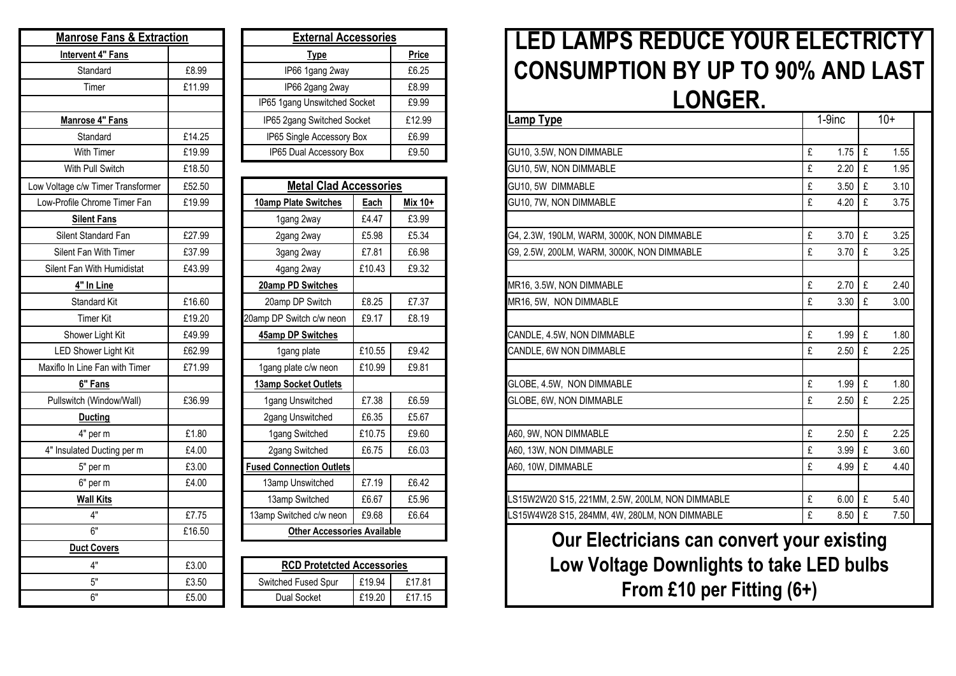| <b>Manrose Fans &amp; Extraction</b> | <b>External Ac</b> |                                 |
|--------------------------------------|--------------------|---------------------------------|
| <b>Intervent 4" Fans</b>             |                    | <u>Type</u>                     |
| Standard                             | £8.99              | IP66 1gang 2way                 |
| Timer                                | £11.99             | IP66 2gang 2way                 |
|                                      |                    | IP65 1gang Unswitched           |
| <b>Manrose 4" Fans</b>               |                    | IP65 2gang Switched S           |
| Standard                             | £14.25             | IP65 Single Accessory           |
| <b>With Timer</b>                    | £19.99             | IP65 Dual Accessory             |
| With Pull Switch                     | £18.50             |                                 |
| Low Voltage c/w Timer Transformer    | £52.50             | <b>Metal Clad A</b>             |
| Low-Profile Chrome Timer Fan         | £19.99             | 10amp Plate Switches            |
| <b>Silent Fans</b>                   |                    | 1gang 2way                      |
| Silent Standard Fan                  | £27.99             | 2gang 2way                      |
| Silent Fan With Timer                | £37.99             | 3gang 2way                      |
| Silent Fan With Humidistat           | £43.99             | 4gang 2way                      |
| 4" In Line                           |                    | 20amp PD Switches               |
| Standard Kit                         | £16.60             | 20amp DP Switch                 |
| <b>Timer Kit</b>                     | £19.20             | 20amp DP Switch c/w neon        |
| Shower Light Kit                     | £49.99             | 45amp DP Switches               |
| <b>LED Shower Light Kit</b>          | £62.99             | 1gang plate                     |
| Maxiflo In Line Fan with Timer       | £71.99             | 1gang plate c/w neon            |
| 6" Fans                              |                    | 13amp Socket Outlets            |
| Pullswitch (Window/Wall)             | £36.99             | 1gang Unswitched                |
| <b>Ducting</b>                       |                    | 2gang Unswitched                |
| 4" per m                             | £1.80              | 1gang Switched                  |
| 4" Insulated Ducting per m           | £4.00              | 2gang Switched                  |
| 5" per m                             | £3.00              | <b>Fused Connection Outlets</b> |
| 6" per m                             | £4.00              | 13amp Unswitched                |
| <b>Wall Kits</b>                     |                    | 13amp Switched                  |
| 4"                                   | £7.75              | 13amp Switched c/w neon         |
| 6"                                   | £16.50             | <b>Other Accessor</b>           |
| <b>Duct Covers</b>                   |                    |                                 |
| 4"                                   | £3.00              | <b>RCD Protetcted</b>           |
| 5"                                   | £3.50              | Switched Fused Spur             |
| 6"                                   | £5.00              | <b>Dual Socket</b>              |

| <b>Manrose Fans &amp; Extraction</b> |        | <b>External Accessories</b>        |                                    |         |  |
|--------------------------------------|--------|------------------------------------|------------------------------------|---------|--|
| Intervent 4" Fans                    |        | <b>Type</b>                        | Price                              |         |  |
| Standard                             | £8.99  | IP66 1gang 2way                    | £6.25                              |         |  |
| Timer                                | £11.99 | IP66 2gang 2way                    |                                    |         |  |
|                                      |        | IP65 1gang Unswitched Socket       |                                    | £9.99   |  |
| Manrose 4" Fans                      |        | IP65 2gang Switched Socket         |                                    | £12.99  |  |
| Standard                             | £14.25 |                                    | IP65 Single Accessory Box<br>£6.99 |         |  |
| <b>With Timer</b>                    | £19.99 |                                    | IP65 Dual Accessory Box            |         |  |
| With Pull Switch                     | £18.50 |                                    |                                    |         |  |
| w Voltage c/w Timer Transformer      | £52.50 | <b>Metal Clad Accessories</b>      |                                    |         |  |
| Low-Profile Chrome Timer Fan         | £19.99 | 10amp Plate Switches               | Each                               | Mix 10+ |  |
| <b>Silent Fans</b>                   |        | 1gang 2way                         | £4.47                              | £3.99   |  |
| Silent Standard Fan                  | £27.99 | 2gang 2way                         | £5.98                              | £5.34   |  |
| Silent Fan With Timer                | £37.99 | 3gang 2way                         | £7.81                              | £6.98   |  |
| Silent Fan With Humidistat           | £43.99 | 4gang 2way                         | £10.43                             | £9.32   |  |
| 4" In Line                           |        | 20amp PD Switches                  |                                    |         |  |
| Standard Kit                         | £16.60 | 20amp DP Switch                    | £8.25                              |         |  |
| <b>Timer Kit</b>                     | £19.20 | 20amp DP Switch c/w neon           | £9.17                              | £8.19   |  |
| Shower Light Kit                     | £49.99 | 45amp DP Switches                  |                                    |         |  |
| LED Shower Light Kit                 | £62.99 | 1gang plate                        | £10.55<br>£9.42                    |         |  |
| Maxiflo In Line Fan with Timer       | £71.99 | 1gang plate c/w neon               | £10.99                             | £9.81   |  |
| 6" Fans                              |        | 13amp Socket Outlets               |                                    |         |  |
| Pullswitch (Window/Wall)             | £36.99 | 1gang Unswitched                   | £7.38                              | £6.59   |  |
| <b>Ducting</b>                       |        | 2gang Unswitched                   | £6.35                              | £5.67   |  |
| 4" per m                             | £1.80  | 1gang Switched                     | £10.75                             | £9.60   |  |
| 4" Insulated Ducting per m           | £4.00  | 2gang Switched                     | £6.75                              | £6.03   |  |
| 5" per m                             | £3.00  | <b>Fused Connection Outlets</b>    |                                    |         |  |
| 6" per m                             | £4.00  | 13amp Unswitched                   | £7.19                              | £6.42   |  |
| <b>Wall Kits</b>                     |        | 13amp Switched                     | £6.67                              | £5.96   |  |
| 4"                                   | £7.75  | 13amp Switched c/w neon<br>£9.68   |                                    | £6.64   |  |
| 6"                                   | £16.50 | <b>Other Accessories Available</b> |                                    |         |  |
| <b>Duct Covers</b>                   |        |                                    |                                    |         |  |
| 4"                                   | £3.00  | <b>RCD Protetcted Accessories</b>  |                                    |         |  |
| 5"                                   | £3.50  | Switched Fused Spur                | £19.94                             | £17.81  |  |
| 6"<br>£5.00                          |        | Dual Socket                        | £19.20                             | £17.15  |  |

## **LED LAMPS REDUCE YOUR ELECTRICTY CONSUMPTION BY UP TO 90% AND LAST**  LONGER.

| 5 2gang Switched Socket        |        | £12.99  | Lamp Type                                      | 1-9inc    | $10+$     |  |
|--------------------------------|--------|---------|------------------------------------------------|-----------|-----------|--|
| 65 Single Accessory Box        |        | £6.99   |                                                |           |           |  |
| 65 Dual Accessory Box<br>£9.50 |        |         | GU10, 3.5W, NON DIMMABLE                       | £<br>1.75 | £<br>1.55 |  |
|                                |        |         | GU10, 5W, NON DIMMABLE                         | £<br>2.20 | £<br>1.95 |  |
| <b>Metal Clad Accessories</b>  |        |         | GU10, 5W DIMMABLE                              | £<br>3.50 | £<br>3.10 |  |
| p Plate Switches               | Each   | Mix 10+ | GU10, 7W, NON DIMMABLE                         | £<br>4.20 | £<br>3.75 |  |
| 1gang 2way                     | £4.47  | £3.99   |                                                |           |           |  |
| 2gang 2way                     | £5.98  | £5.34   | G4, 2.3W, 190LM, WARM, 3000K, NON DIMMABLE     | £<br>3.70 | £<br>3.25 |  |
| 3gang 2way                     | £7.81  | £6.98   | G9, 2.5W, 200LM, WARM, 3000K, NON DIMMABLE     | £<br>3.70 | £<br>3.25 |  |
| 4gang 2way                     | £10.43 | £9.32   |                                                |           |           |  |
| np PD Switches                 |        |         | MR16, 3.5W, NON DIMMABLE                       | £<br>2.70 | £<br>2.40 |  |
| amp DP Switch                  | £8.25  | £7.37   | MR16, 5W, NON DIMMABLE                         | £<br>3.30 | £<br>3.00 |  |
| P Switch c/w neon              | £9.17  | £8.19   |                                                |           |           |  |
| np DP Switches                 |        |         | CANDLE, 4.5W, NON DIMMABLE                     | £<br>1.99 | £<br>1.80 |  |
| 1gang plate                    | £10.55 | £9.42   | CANDLE, 6W NON DIMMABLE                        | £<br>2.50 | 2.25<br>£ |  |
| g plate c/w neon               | £10.99 | £9.81   |                                                |           |           |  |
| p Socket Outlets               |        |         | GLOBE, 4.5W, NON DIMMABLE                      | £<br>1.99 | £<br>1.80 |  |
| ang Unswitched                 | £7.38  | £6.59   | GLOBE, 6W, NON DIMMABLE                        | £<br>2.50 | £<br>2.25 |  |
| ang Unswitched                 | £6.35  | £5.67   |                                                |           |           |  |
| ang Switched                   | £10.75 | £9.60   | A60, 9W, NON DIMMABLE                          | £<br>2.50 | £<br>2.25 |  |
| jang Switched                  | £6.75  | £6.03   | A60, 13W, NON DIMMABLE                         | £<br>3.99 | £<br>3.60 |  |
| <b>Connection Outlets</b>      |        |         | A60, 10W, DIMMABLE                             | £<br>4.99 | £<br>4.40 |  |
| mp Unswitched                  | £7.19  | £6.42   |                                                |           |           |  |
| amp Switched                   | £6.67  | £5.96   | S15W2W20 S15, 221MM, 2.5W, 200LM, NON DIMMABLE | £<br>6.00 | £<br>5.40 |  |
| Switched c/w neon              | £9.68  | £6.64   | LS15W4W28 S15, 284MM, 4W, 280LM, NON DIMMABLE  | £<br>8.50 | £<br>7.50 |  |

**Our Electricians can convert your existing Low Voltage Downlights to take LED bulbs From £10 per Fitting (6+)**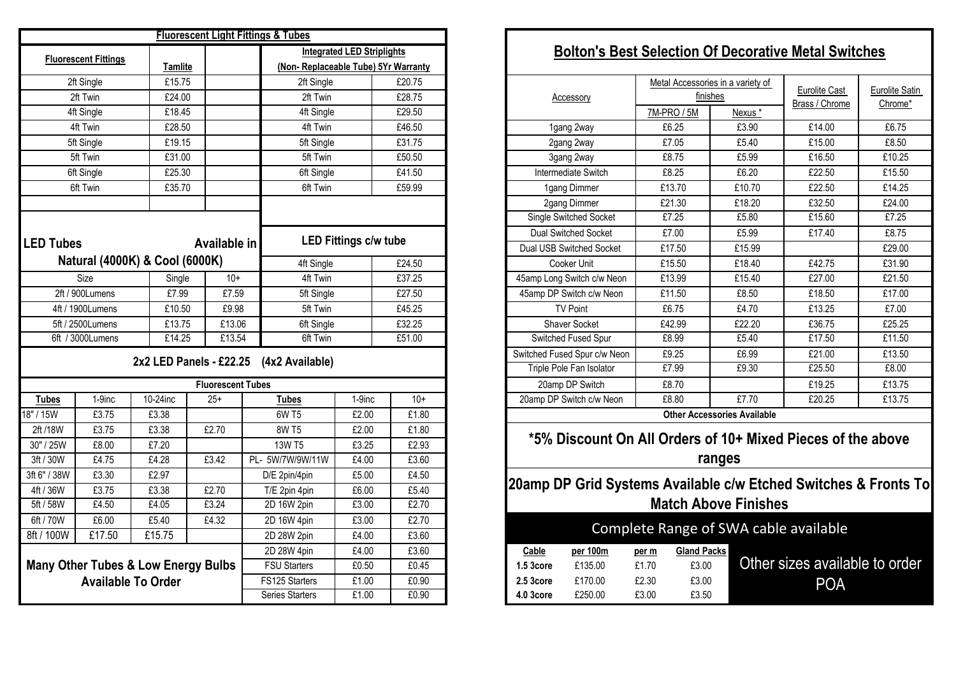|                  |                             |                                                |                          | <b>Fluorescent Light Fittings &amp; Tubes</b> |                                   |                                                 |                                                           |  |  |
|------------------|-----------------------------|------------------------------------------------|--------------------------|-----------------------------------------------|-----------------------------------|-------------------------------------------------|-----------------------------------------------------------|--|--|
|                  | <b>Fluorescent Fittings</b> | <b>Tamlite</b>                                 |                          | (Non-Replaceable Tube) 5Yr Warranty           | <b>Integrated LED Striplights</b> |                                                 | <b>Bolton's Best Selection Of Decorative Metal S</b>      |  |  |
|                  | 2ft Single                  | £15.75                                         |                          | 2ft Single                                    |                                   | £20.75                                          | Metal Accessories in a variety of                         |  |  |
|                  | 2ft Twin                    | £24.00                                         |                          | 2ft Twin                                      | £28.75                            |                                                 | Eurolite C<br>finishes<br>Accessory<br>Brass / Chr        |  |  |
|                  | 4ft Single                  | £18.45                                         |                          | 4ft Single                                    |                                   | £29.50                                          | 7M-PRO / 5M<br>Nexus *                                    |  |  |
|                  | 4ft Twin                    | £28.50                                         |                          | 4ft Twin                                      |                                   | £46.50                                          | £14.00<br>£6.25<br>£3.90<br>1gang 2way                    |  |  |
|                  | 5ft Single                  | £19.15                                         |                          | 5ft Single                                    |                                   | £31.75                                          | £7.05<br>£5.40<br>£15.00<br>2gang 2way                    |  |  |
|                  | 5ft Twin                    | £31.00                                         |                          | 5ft Twin                                      |                                   | £50.50                                          | £8.75<br>£5.99<br>£16.50<br>3gang 2way                    |  |  |
|                  | 6ft Single                  | £25.30                                         |                          | 6ft Single                                    |                                   | £41.50                                          | Intermediate Switch<br>£8.25<br>£6.20<br>£22.50           |  |  |
|                  | 6ft Twin                    | £35.70                                         |                          | 6ft Twin                                      |                                   | £59.99                                          | £13.70<br>£10.70<br>£22.50<br>1gang Dimmer                |  |  |
|                  |                             |                                                |                          |                                               |                                   |                                                 | £21.30<br>£18.20<br>2gang Dimmer<br>£32.50                |  |  |
|                  |                             |                                                |                          |                                               |                                   |                                                 | £5.80<br>£15.60<br>Single Switched Socket<br>£7.25        |  |  |
|                  |                             |                                                |                          |                                               |                                   |                                                 | Dual Switched Socket<br>£7.00<br>£5.99<br>£17.40          |  |  |
| <b>LED Tubes</b> |                             |                                                | Available in             |                                               | <b>LED Fittings c/w tube</b>      |                                                 | £17.50<br>£15.99<br>Dual USB Switched Socket              |  |  |
|                  |                             | Natural (4000K) & Cool (6000K)                 |                          | 4ft Single                                    |                                   | £24.50                                          | £15.50<br>£42.75<br>Cooker Unit<br>£18.40                 |  |  |
|                  | <b>Size</b>                 | Single                                         | $10+$                    | 4ft Twin                                      |                                   |                                                 | £13.99<br>45amp Long Switch c/w Neon<br>£15.40<br>£27.00  |  |  |
|                  | 2ft / 900Lumens             | £7.99                                          | £7.59                    | 5ft Single                                    |                                   | £27.50                                          | £18.50<br>45amp DP Switch c/w Neon<br>£11.50<br>£8.50     |  |  |
|                  | 4ft / 1900Lumens            | £10.50                                         | £9.98                    | 5ft Twin                                      |                                   |                                                 | <b>TV Point</b><br>£6.75<br>£4.70<br>£13.25               |  |  |
|                  | 5ft / 2500Lumens            | £13.75                                         | £13.06                   | 6ft Single                                    | £45.25<br>£32.25                  |                                                 | Shaver Socket<br>£42.99<br>£22.20<br>£36.75               |  |  |
|                  | 6ft / 3000Lumens            | £14.25                                         | £13.54                   | 6ft Twin                                      | £51.00                            |                                                 | £17.50<br>Switched Fused Spur<br>£8.99<br>£5.40           |  |  |
|                  |                             |                                                |                          |                                               |                                   |                                                 | £6.99<br>£21.00<br>Switched Fused Spur c/w Neon<br>£9.25  |  |  |
|                  |                             |                                                |                          | 2x2 LED Panels - £22.25 (4x2 Available)       |                                   |                                                 | £25.50<br>£7.99<br>£9.30<br>Triple Pole Fan Isolator      |  |  |
|                  |                             |                                                | <b>Fluorescent Tubes</b> |                                               |                                   |                                                 | £19.25<br>20amp DP Switch<br>£8.70                        |  |  |
| <b>Tubes</b>     | 1-9inc                      | 10-24inc                                       | $25+$                    | <b>Tubes</b>                                  | 1-9inc                            | $10+$                                           | £20.25<br>20amp DP Switch c/w Neon<br>£8.80<br>£7.70      |  |  |
| 18" / 15W        | £3.75                       | £3.38                                          |                          | 6W T5                                         | £2.00                             | £1.80                                           | <b>Other Accessories Available</b>                        |  |  |
| 2ft /18W         | £3.75                       | £3.38                                          | £2.70                    | <b>8W T5</b>                                  | £2.00                             | £1.80                                           |                                                           |  |  |
| 30" / 25W        | £8.00                       | £7.20                                          |                          | 13W T5                                        | £3.25                             | £2.93                                           | *5% Discount On All Orders of 10+ Mixed Pieces            |  |  |
| 3ft / 30W        | £4.75                       | £4.28                                          | £3.42                    | PL- 5W/7W/9W/11W                              | £4.00                             | £3.60                                           | ranges                                                    |  |  |
| 3ft 6" / 38W     | £3.30                       | £2.97                                          |                          | D/E 2pin/4pin                                 | £5.00                             | £4.50                                           |                                                           |  |  |
| 4ft / 36W        | £3.75                       | £3.38                                          | £2.70                    | T/E 2pin 4pin                                 | £6.00                             | £5.40                                           | 20amp DP Grid Systems Available c/w Etched Switcl         |  |  |
| 5ft / 58W        | £4.50                       | £4.05                                          | £3.24                    | 2D 16W 2pin                                   | £3.00                             | £2.70                                           | <b>Match Above Finishes</b>                               |  |  |
| 6ft / 70W        | £6.00                       | £5.40                                          | £4.32                    | 2D 16W 4pin                                   | £3.00                             | £2.70                                           |                                                           |  |  |
| 8ft / 100W       | £17.50                      | £15.75                                         |                          | 2D 28W 2pin                                   | £4.00                             | £3.60                                           | Complete Range of SWA cable availab                       |  |  |
|                  |                             |                                                |                          | 2D 28W 4pin                                   | £4.00                             | £3.60                                           | <b>Gland Packs</b><br>Cable<br>per 100m<br>per m          |  |  |
|                  |                             | <b>Many Other Tubes &amp; Low Energy Bulbs</b> |                          | <b>FSU Starters</b>                           | £0.50                             | £0.45                                           | Other sizes ava<br>£135.00<br>£1.70<br>£3.00<br>1.5 3core |  |  |
|                  |                             | <b>Available To Order</b>                      |                          | FS125 Starters                                | £1.00                             | £0.90                                           | £170.00<br>£2.30<br>£3.00<br>2.5 3core<br>PC              |  |  |
|                  |                             |                                                |                          | Series Starters                               | £1.00                             | £0.90<br>£250.00<br>£3.50<br>£3.00<br>4.0 3core |                                                           |  |  |

#### **Bolton's Best Selection Of Decorative Metal Switches**

| Accessory       |                                                                                                                                                                                                                                                                                                                                                                                                     | finishes |                                                                                                                                    | Eurolite Satin<br>Chrome*                                                                                                                                                                                                                                                                 |
|-----------------|-----------------------------------------------------------------------------------------------------------------------------------------------------------------------------------------------------------------------------------------------------------------------------------------------------------------------------------------------------------------------------------------------------|----------|------------------------------------------------------------------------------------------------------------------------------------|-------------------------------------------------------------------------------------------------------------------------------------------------------------------------------------------------------------------------------------------------------------------------------------------|
|                 | 7M-PRO / 5M                                                                                                                                                                                                                                                                                                                                                                                         | Nexus*   |                                                                                                                                    |                                                                                                                                                                                                                                                                                           |
| 1gang 2way      | £6.25                                                                                                                                                                                                                                                                                                                                                                                               | £3.90    | £14.00                                                                                                                             | £6.75                                                                                                                                                                                                                                                                                     |
| 2gang 2way      | £7.05                                                                                                                                                                                                                                                                                                                                                                                               | £5.40    | £15.00                                                                                                                             | £8.50                                                                                                                                                                                                                                                                                     |
| 3gang 2way      | £8.75                                                                                                                                                                                                                                                                                                                                                                                               | £5.99    | £16.50                                                                                                                             | £10.25                                                                                                                                                                                                                                                                                    |
|                 | £8.25                                                                                                                                                                                                                                                                                                                                                                                               | £6.20    | £22.50                                                                                                                             | £15.50                                                                                                                                                                                                                                                                                    |
| 1gang Dimmer    | £13.70                                                                                                                                                                                                                                                                                                                                                                                              | £10.70   | £22.50                                                                                                                             | £14.25                                                                                                                                                                                                                                                                                    |
|                 | £21.30                                                                                                                                                                                                                                                                                                                                                                                              | £18.20   | £32.50                                                                                                                             | £24.00                                                                                                                                                                                                                                                                                    |
|                 | £7.25                                                                                                                                                                                                                                                                                                                                                                                               | £5.80    | £15.60                                                                                                                             | £7.25                                                                                                                                                                                                                                                                                     |
|                 | £7.00                                                                                                                                                                                                                                                                                                                                                                                               | £5.99    | £17.40                                                                                                                             | £8.75                                                                                                                                                                                                                                                                                     |
|                 | £17.50                                                                                                                                                                                                                                                                                                                                                                                              | £15.99   |                                                                                                                                    | £29.00                                                                                                                                                                                                                                                                                    |
| Cooker Unit     | £15.50                                                                                                                                                                                                                                                                                                                                                                                              | £18.40   | £42.75                                                                                                                             | £31.90                                                                                                                                                                                                                                                                                    |
|                 | £13.99                                                                                                                                                                                                                                                                                                                                                                                              | £15.40   | £27.00                                                                                                                             | £21.50                                                                                                                                                                                                                                                                                    |
|                 | £11.50                                                                                                                                                                                                                                                                                                                                                                                              | £8.50    | £18.50                                                                                                                             | £17.00                                                                                                                                                                                                                                                                                    |
| <b>TV Point</b> | £6.75                                                                                                                                                                                                                                                                                                                                                                                               | £4.70    | £13.25                                                                                                                             | £7.00                                                                                                                                                                                                                                                                                     |
|                 | £42.99                                                                                                                                                                                                                                                                                                                                                                                              | £22.20   | £36.75                                                                                                                             | £25.25                                                                                                                                                                                                                                                                                    |
|                 | £8.99                                                                                                                                                                                                                                                                                                                                                                                               | £5.40    | £17.50                                                                                                                             | £11.50                                                                                                                                                                                                                                                                                    |
|                 | £9.25                                                                                                                                                                                                                                                                                                                                                                                               | £6.99    | £21.00                                                                                                                             | £13.50                                                                                                                                                                                                                                                                                    |
|                 | £7.99                                                                                                                                                                                                                                                                                                                                                                                               | £9.30    | £25.50                                                                                                                             | £8.00                                                                                                                                                                                                                                                                                     |
|                 | £8.70                                                                                                                                                                                                                                                                                                                                                                                               |          | £19.25                                                                                                                             | £13.75                                                                                                                                                                                                                                                                                    |
|                 | £8.80                                                                                                                                                                                                                                                                                                                                                                                               | £7.70    | £20.25                                                                                                                             | £13.75                                                                                                                                                                                                                                                                                    |
|                 |                                                                                                                                                                                                                                                                                                                                                                                                     |          |                                                                                                                                    |                                                                                                                                                                                                                                                                                           |
|                 |                                                                                                                                                                                                                                                                                                                                                                                                     |          |                                                                                                                                    |                                                                                                                                                                                                                                                                                           |
|                 |                                                                                                                                                                                                                                                                                                                                                                                                     |          |                                                                                                                                    |                                                                                                                                                                                                                                                                                           |
|                 |                                                                                                                                                                                                                                                                                                                                                                                                     |          |                                                                                                                                    |                                                                                                                                                                                                                                                                                           |
|                 |                                                                                                                                                                                                                                                                                                                                                                                                     |          |                                                                                                                                    |                                                                                                                                                                                                                                                                                           |
|                 |                                                                                                                                                                                                                                                                                                                                                                                                     |          |                                                                                                                                    |                                                                                                                                                                                                                                                                                           |
|                 |                                                                                                                                                                                                                                                                                                                                                                                                     |          |                                                                                                                                    |                                                                                                                                                                                                                                                                                           |
|                 |                                                                                                                                                                                                                                                                                                                                                                                                     |          |                                                                                                                                    |                                                                                                                                                                                                                                                                                           |
|                 |                                                                                                                                                                                                                                                                                                                                                                                                     |          |                                                                                                                                    |                                                                                                                                                                                                                                                                                           |
| per 100m        | per m                                                                                                                                                                                                                                                                                                                                                                                               |          |                                                                                                                                    |                                                                                                                                                                                                                                                                                           |
| £135.00         | £1.70                                                                                                                                                                                                                                                                                                                                                                                               |          |                                                                                                                                    |                                                                                                                                                                                                                                                                                           |
| £170.00         | £2.30                                                                                                                                                                                                                                                                                                                                                                                               |          |                                                                                                                                    |                                                                                                                                                                                                                                                                                           |
| £250.00         | £3.00                                                                                                                                                                                                                                                                                                                                                                                               |          |                                                                                                                                    |                                                                                                                                                                                                                                                                                           |
|                 | Intermediate Switch<br>2gang Dimmer<br>Single Switched Socket<br><b>Dual Switched Socket</b><br>Dual USB Switched Socket<br>45amp Long Switch c/w Neon<br>45amp DP Switch c/w Neon<br><b>Shaver Socket</b><br>Switched Fused Spur<br>Switched Fused Spur c/w Neon<br>Triple Pole Fan Isolator<br>20amp DP Switch<br>20amp DP Switch c/w Neon<br>Cable<br>1.5 3core<br>2.5 3core<br><b>4.0 3core</b> |          | Metal Accessories in a variety of<br><b>Other Accessories Available</b><br>ranges<br><b>Gland Packs</b><br>£3.00<br>£3.00<br>£3.50 | Eurolite Cast<br>Brass / Chrome<br>*5% Discount On All Orders of 10+ Mixed Pieces of the above<br>20amp DP Grid Systems Available c/w Etched Switches & Fronts To<br><b>Match Above Finishes</b><br>Complete Range of SWA cable available<br>Other sizes available to order<br><b>POA</b> |